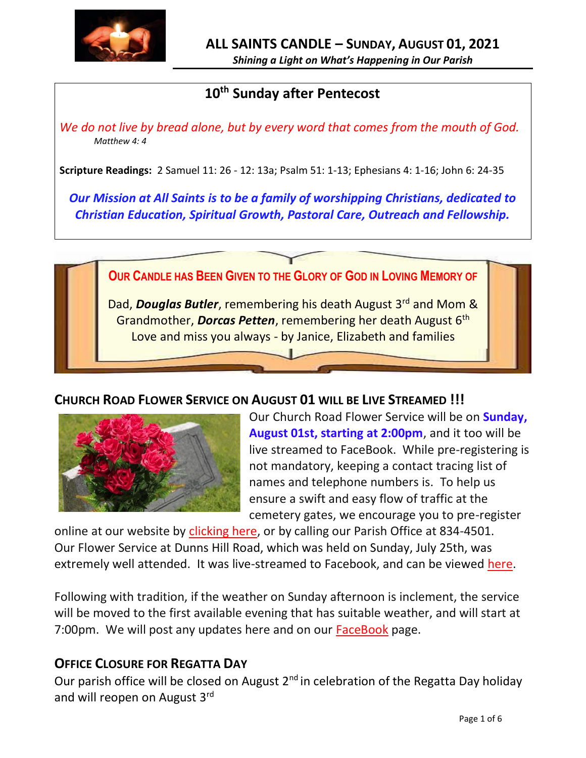

# **10th Sunday after Pentecost**

*We do not live by bread alone, but by every word that comes from the mouth of God. Matthew 4: 4*

**Scripture Readings:** 2 Samuel 11: 26 - 12: 13a; Psalm 51: 1-13; Ephesians 4: 1-16; John 6: 24-35

*Our Mission at All Saints is to be a family of worshipping Christians, dedicated to Christian Education, Spiritual Growth, Pastoral Care, Outreach and Fellowship.*



### **CHURCH ROAD FLOWER SERVICE ON AUGUST 01 WILL BE LIVE STREAMED !!!**



Our Church Road Flower Service will be on **Sunday, August 01st, starting at 2:00pm**, and it too will be live streamed to FaceBook. While pre-registering is not mandatory, keeping a contact tracing list of names and telephone numbers is. To help us ensure a swift and easy flow of traffic at the cemetery gates, we encourage you to pre-register

online at our website by [clicking here,](http://allsaintsparish.ca/covid-pre-registration-form_1) or by calling our Parish Office at 834-4501. Our Flower Service at Dunns Hill Road, which was held on Sunday, July 25th, was extremely well attended. It was live-streamed to Facebook, and can be viewed [here.](https://www.facebook.com/AllSaintsAnglicanChurchCBS)

Following with tradition, if the weather on Sunday afternoon is inclement, the service will be moved to the first available evening that has suitable weather, and will start at 7:00pm. We will post any updates here and on our [FaceBook](https://www.facebook.com/AllSaintsAnglicanChurchCBS) page.

### **OFFICE CLOSURE FOR REGATTA DAY**

Our parish office will be closed on August 2<sup>nd</sup> in celebration of the Regatta Day holiday and will reopen on August 3rd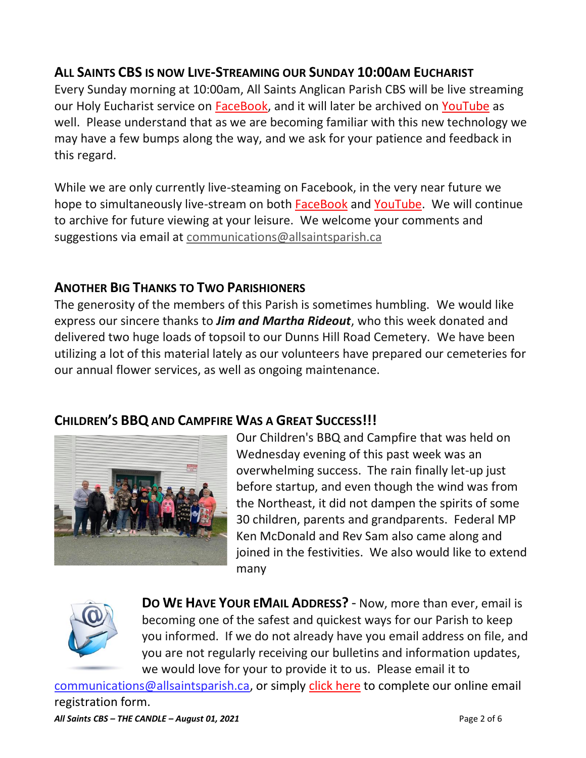## **ALL SAINTS CBS IS NOW LIVE-STREAMING OUR SUNDAY 10:00AM EUCHARIST**

Every Sunday morning at 10:00am, All Saints Anglican Parish CBS will be live streaming our Holy Eucharist service on [FaceBook,](https://www.facebook.com/AllSaintsAnglicanChurchCBS) and it will later be archived on [YouTube](https://www.youtube.com/results?search_query=all+saints+anglican+parish+cbs) as well. Please understand that as we are becoming familiar with this new technology we may have a few bumps along the way, and we ask for your patience and feedback in this regard.

While we are only currently live-steaming on Facebook, in the very near future we hope to simultaneously live-stream on both [FaceBook](https://www.facebook.com/AllSaintsAnglicanChurchCBS) and [YouTube.](https://www.youtube.com/results?search_query=all+saints+anglican+parish+cbs) We will continue to archive for future viewing at your leisure. We welcome your comments and suggestions via email at [communications@allsaintsparish.ca](mailto:communications@allsaintsparish.ca)

### **ANOTHER BIG THANKS TO TWO PARISHIONERS**

The generosity of the members of this Parish is sometimes humbling. We would like express our sincere thanks to *Jim and Martha Rideout*, who this week donated and delivered two huge loads of topsoil to our Dunns Hill Road Cemetery. We have been utilizing a lot of this material lately as our volunteers have prepared our cemeteries for our annual flower services, as well as ongoing maintenance.

## **CHILDREN'S BBQ AND CAMPFIRE WAS A GREAT SUCCESS!!!**



Our Children's BBQ and Campfire that was held on Wednesday evening of this past week was an overwhelming success. The rain finally let-up just before startup, and even though the wind was from the Northeast, it did not dampen the spirits of some 30 children, parents and grandparents. Federal MP Ken McDonald and Rev Sam also came along and joined in the festivities. We also would like to extend many



**DO WE HAVE YOUR EMAIL ADDRESS?** - Now, more than ever, email is becoming one of the safest and quickest ways for our Parish to keep you informed. If we do not already have you email address on file, and you are not regularly receiving our bulletins and information updates, we would love for your to provide it to us. Please email it to

[communications@allsaintsparish.ca,](mailto:communications@allsaintsparish.ca?subject=eMail%20Address%20Update) or simply [click here](http://allsaintsparish.ca/email_updates) to complete our online email registration form.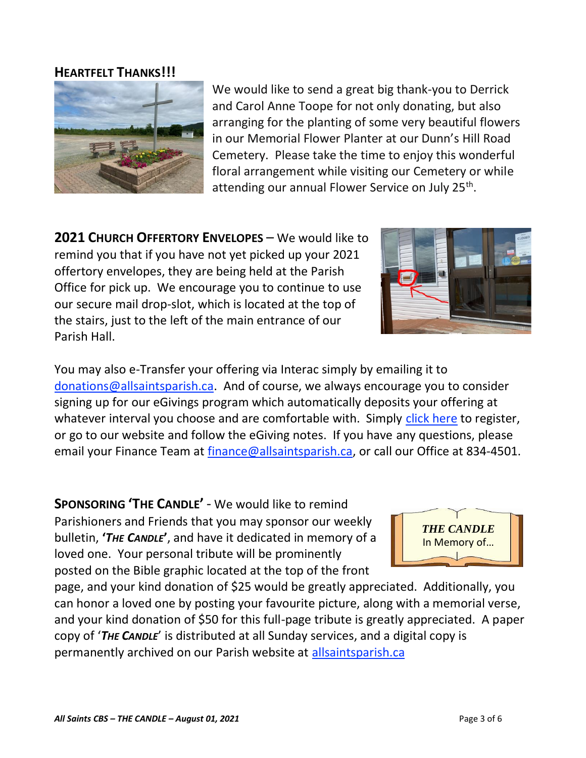#### **HEARTFELT THANKS!!!**

and Carol Anne Toope for not only donating, but also arranging for the planting of some very beautiful flowers in our Memorial Flower Planter at our Dunn's Hill Road Cemetery. Please take the time to enjoy this wonderful floral arrangement while visiting our Cemetery or while attending our annual Flower Service on July 25<sup>th</sup>.

We would like to send a great big thank-you to Derrick

**2021 CHURCH OFFERTORY ENVELOPES** – We would like to remind you that if you have not yet picked up your 2021 offertory envelopes, they are being held at the Parish Office for pick up. We encourage you to continue to use our secure mail drop-slot, which is located at the top of the stairs, just to the left of the main entrance of our Parish Hall.

You may also e-Transfer your offering via Interac simply by emailing it to [donations@allsaintsparish.ca.](mailto:donations@allsaintsparish.ca) And of course, we always encourage you to consider signing up for our eGivings program which automatically deposits your offering at whatever interval you choose and are comfortable with. Simply [click here](http://allsaintsparish.ca/egiving-online-information-form) to register, or go to our website and follow the eGiving notes. If you have [any](https://wfsites-to.websitecreatorprotool.com/870a5dd5.com/Admin/%7BSK_NODEID__22939341__SK%7D) questions, please email your Finance Team at [finance@allsaintsparish.ca,](mailto:finance@allsaintsparish.ca) or call our Office at 834-4501.

**SPONSORING 'THE CANDLE'** - We would like to remind Parishioners and Friends that you may sponsor our weekly bulletin, **'***THE CANDLE***'**, and have it dedicated in memory of a loved one. Your personal tribute will be prominently posted on the Bible graphic located at the top of the front

page, and your kind donation of \$25 would be greatly appreciated. Additionally, you can honor a loved one by posting your favourite picture, along with a memorial verse, and your kind donation of \$50 for this full-page tribute is greatly appreciated. A paper copy of '*THE CANDLE*' is distributed at all Sunday services, and a digital copy is permanently archived on our Parish website at [allsaintsparish.ca](http://allsaintsparish.ca/thecandle.html)





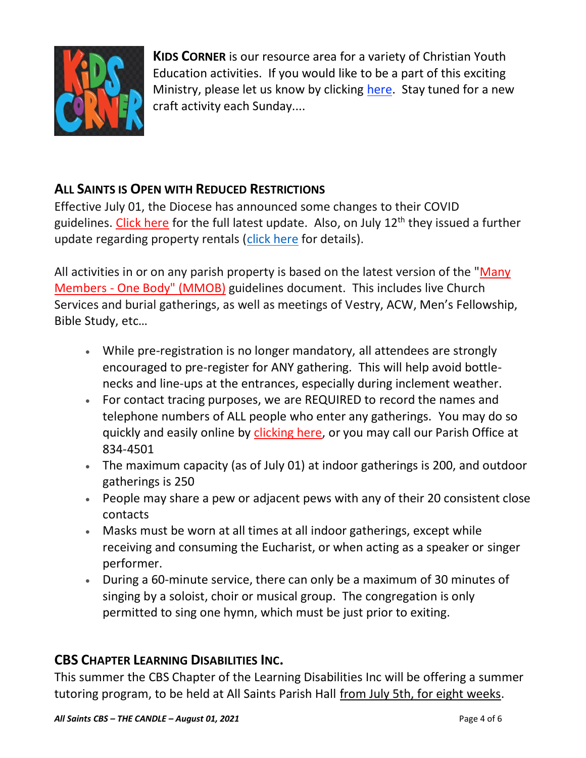

**KIDS CORNER** is our resource area for a variety of Christian Youth Education activities. If you would like to be a part of this exciting Ministry, please let us know by clicking [here.](http://allsaintsparish.ca/index.html#comments) Stay tuned for a new craft activity each Sunday....

## **ALL SAINTS IS OPEN WITH REDUCED RESTRICTIONS**

Effective July 01, the Diocese has announced some changes to their COVID guidelines. [Click here](http://allsaintsparish.ca/document_library/COVID-19/210630%20COVID%2019%20Update%20Effective%20July%201.pdf) for the full latest update. Also, on July 12<sup>th</sup> they issued a further update regarding property rentals [\(click here](http://allsaintsparish.ca/document_library/COVID-19/COVID%20Update%20(annotated)%20Diocese%20ENL%20Issued%20210712.pdf) for details).

All activities in or on any parish property is based on the latest version of the "Many Members - [One Body" \(MMOB\)](https://anglicanenl.net/home/wp-content/uploads/2021/02/Many-Members-One-Body-February-2021.pdf) guidelines document. This includes live Church Services and burial gatherings, as well as meetings of Vestry, ACW, Men's Fellowship, Bible Study, etc…

- While pre-registration is no longer mandatory, all attendees are strongly encouraged to pre-register for ANY gathering. This will help avoid bottlenecks and line-ups at the entrances, especially during inclement weather.
- For contact tracing purposes, we are REQUIRED to record the names and telephone numbers of ALL people who enter any gatherings. You may do so quickly and easily online by [clicking here,](http://allsaintsparish.ca/covid-pre-registration-form) or you may call our Parish Office at 834-4501
- The maximum capacity (as of July 01) at indoor gatherings is 200, and outdoor gatherings is 250
- People may share a pew or adjacent pews with any of their 20 consistent close contacts
- Masks must be worn at all times at all indoor gatherings, except while receiving and consuming the Eucharist, or when acting as a speaker or singer performer.
- During a 60-minute service, there can only be a maximum of 30 minutes of singing by a soloist, choir or musical group. The congregation is only permitted to sing one hymn, which must be just prior to exiting.

## **CBS CHAPTER LEARNING DISABILITIES INC.**

This summer the CBS Chapter of the Learning Disabilities Inc will be offering a summer tutoring program, to be held at All Saints Parish Hall from July 5th, for eight weeks.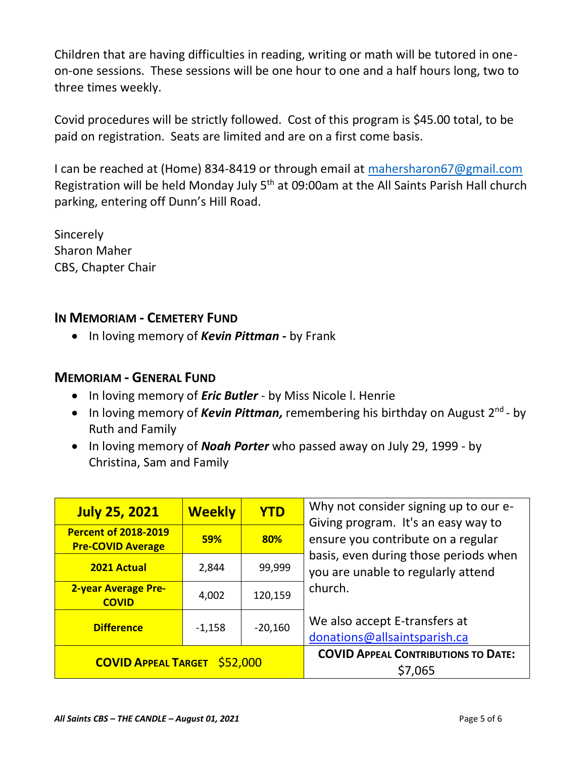Children that are having difficulties in reading, writing or math will be tutored in oneon-one sessions. These sessions will be one hour to one and a half hours long, two to three times weekly.

Covid procedures will be strictly followed. Cost of this program is \$45.00 total, to be paid on registration. Seats are limited and are on a first come basis.

I can be reached at (Home) 834-8419 or through email at [mahersharon67@gmail.com](mailto:mahersharon67@gmail.com) Registration will be held Monday July 5<sup>th</sup> at 09:00am at the All Saints Parish Hall church parking, entering off Dunn's Hill Road.

Sincerely Sharon Maher CBS, Chapter Chair

#### **IN MEMORIAM - CEMETERY FUND**

• In loving memory of *Kevin Pittman* **-** by Frank

#### **MEMORIAM - GENERAL FUND**

- In loving memory of *Eric Butler* by Miss Nicole l. Henrie
- In loving memory of *Kevin Pittman,* remembering his birthday on August 2<sup>nd</sup> by Ruth and Family
- In loving memory of *Noah Porter* who passed away on July 29, 1999 by Christina, Sam and Family

| <b>July 25, 2021</b>                                    | <b>Weekly</b> | <b>YTD</b> | Why not consider signing up to our e-<br>Giving program. It's an easy way to<br>ensure you contribute on a regular<br>basis, even during those periods when<br>you are unable to regularly attend<br>church. |
|---------------------------------------------------------|---------------|------------|--------------------------------------------------------------------------------------------------------------------------------------------------------------------------------------------------------------|
| <b>Percent of 2018-2019</b><br><b>Pre-COVID Average</b> | <b>59%</b>    | 80%        |                                                                                                                                                                                                              |
| <b>2021 Actual</b>                                      | 2,844         | 99,999     |                                                                                                                                                                                                              |
| <b>2-year Average Pre-</b><br><b>COVID</b>              | 4,002         | 120,159    |                                                                                                                                                                                                              |
| <b>Difference</b>                                       | $-1,158$      | $-20,160$  | We also accept E-transfers at<br>donations@allsaintsparish.ca                                                                                                                                                |
| <b>COVID APPEAL TARGET \$52,000</b>                     |               |            | <b>COVID APPEAL CONTRIBUTIONS TO DATE:</b><br>\$7,065                                                                                                                                                        |